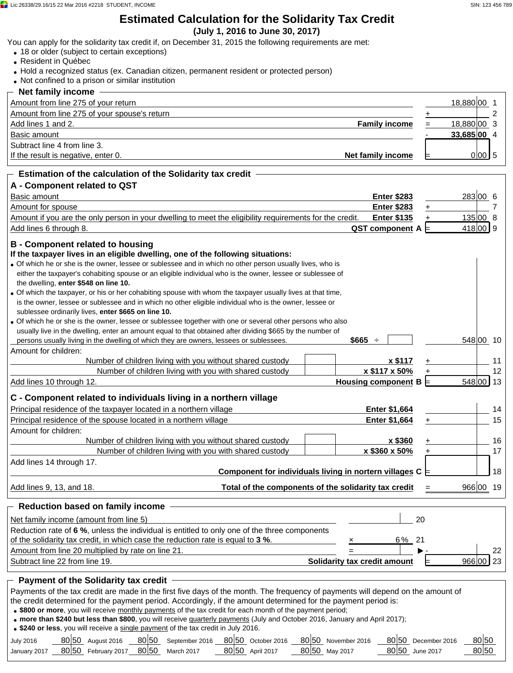#### **Estimated Calculation for the Solidarity Tax Credit (July 1, 2016 to June 30, 2017)**

You can apply for the solidarity tax credit if, on December 31, 2015 the following requirements are met:

- 18 or older (subject to certain exceptions)
- Resident in Québec
- Hold a recognized status (ex. Canadian citizen, permanent resident or protected person)
- Not confined to a prison or similar institution

| $-$ Net family income $\,$                               |             |        |  |
|----------------------------------------------------------|-------------|--------|--|
| Amount from line 275 of your return                      | 18,880 00   |        |  |
| Amount from line 275 of your spouse's return             |             |        |  |
| <b>Family income</b><br>Add lines 1 and 2.               | 18,880 00 3 |        |  |
| Basic amount                                             | 33.685 00 4 |        |  |
| Subtract line 4 from line 3.                             |             |        |  |
| Net family income<br>If the result is negative, enter 0. |             | 0 00 5 |  |
|                                                          |             |        |  |

#### **Estimation of the calculation of the Solidarity tax credit A - Component related to QST** Basic amount **Enter \$283** 6 Amount for spouse **Enter \$283** + 7 Amount if you are the only person in your dwelling to meet the eligibility requirements for the credit. **Enter \$135** + 8135 + 8135 Add lines 6 through 8. **QST component A** = 9 **B - Component related to housing If the taxpayer lives in an eligible dwelling, one of the following situations:** Of which he or she is the owner, lessee or sublessee and in which no other person usually lives, who is either the taxpayer's cohabiting spouse or an eligible individual who is the owner, lessee or sublessee of the dwelling, **enter \$548 on line 10.** Of which the taxpayer, or his or her cohabiting spouse with whom the taxpayer usually lives at that time, is the owner, lessee or sublessee and in which no other eligible individual who is the owner, lessee or sublessee ordinarily lives, **enter \$665 on line 10.** Of which he or she is the owner, lessee or sublessee together with one or several other persons who also usually live in the dwelling, enter an amount equal to that obtained after dividing \$665 by the number of persons usually living in the dwelling of which they are owners, lessees or sublessees. **\$665** ÷ Amount for children: Number of children living with you without shared custody **x \$117** + 11 Number of children living with you with shared custody  $\vert$  **x \$117 x 50%** + 12 Add lines 10 through 12. **Housing component B** ⊨ 1348 548 **548 13 C - Component related to individuals living in a northern village** Principal residence of the taxpayer located in a northern village **Enter \$1,664 Enter \$1,664** 14 Principal residence of the spouse located in a northern village **Enter \$1,664** + 15 Amount for children: Number of children living with you without shared custody **x \$360** + 16 Number of children living with you with shared custody  $\vert$  **x \$360 x 50%** + 17 Add lines 14 through 17. **Component for individuals living in nortern villages**  $C \models$  **18** Add lines 9, 13, and 18. **Total of the components of the solidarity tax credit** = 19  **Reduction based on family income**  283 00 6 135 418 548 00 10 548 966 00 19

| Net family income (amount from line 5)                                                       |                              |       | 20 |                 |
|----------------------------------------------------------------------------------------------|------------------------------|-------|----|-----------------|
| Reduction rate of 6 %, unless the individual is entitled to only one of the three components |                              |       |    |                 |
| of the solidarity tax credit, in which case the reduction rate is equal to 3 %.              |                              | 6% 21 |    |                 |
| Amount from line 20 multiplied by rate on line 21.                                           |                              |       |    | 22 <sub>2</sub> |
| Subtract line 22 from line 19.                                                               | Solidarity tax credit amount |       |    | 966 00 23       |

#### **Payment of the Solidarity tax credit**

Payments of the tax credit are made in the first five days of the month. The frequency of payments will depend on the amount of the credit determined for the payment period. Accordingly, if the amount determined for the payment period is: **\$800 or more**, you will receive monthly payments of the tax credit for each month of the payment period;

**more than \$240 but less than \$800**, you will receive quarterly payments (July and October 2016, January and April 2017);

**\$240 or less**, you will receive a single payment of the tax credit in July 2016.

| <b>July 2016</b> | 80 50 | August 2016         | 80 50 | September 2016 | 80 50 | October 2016     |       | 80 50 November 2016 |       | 80 50 December 2016 | 80 50 |
|------------------|-------|---------------------|-------|----------------|-------|------------------|-------|---------------------|-------|---------------------|-------|
| January 2017     |       | 80 50 February 2017 | 80 50 | March 2017     |       | 80 50 April 2017 | 80 50 | May 2017            | 80 50 | June 2017           | 80 50 |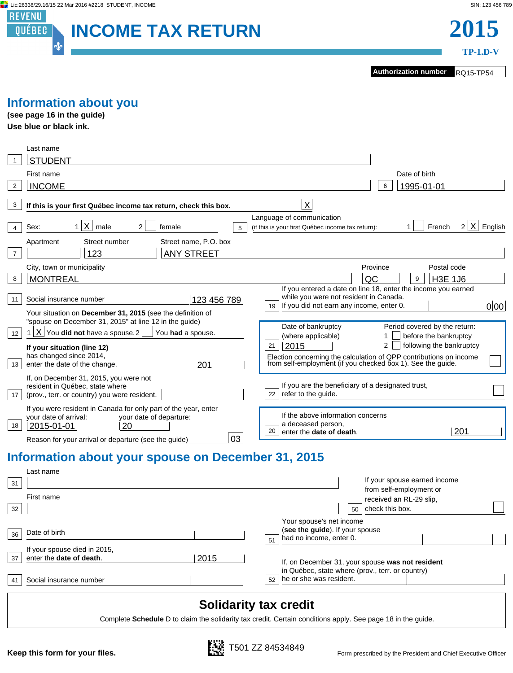



**Authorization number** RQ15-TP54

**TP-1.D-V**

## **Information about you**

**(see page 16 in the guide) Use blue or black ink.**

|                | Last name                                                                                                                                                                                             |                                                                                                                                                                                            |
|----------------|-------------------------------------------------------------------------------------------------------------------------------------------------------------------------------------------------------|--------------------------------------------------------------------------------------------------------------------------------------------------------------------------------------------|
|                | <b>STUDENT</b>                                                                                                                                                                                        |                                                                                                                                                                                            |
|                | First name                                                                                                                                                                                            | Date of birth                                                                                                                                                                              |
| $\overline{2}$ | <b>INCOME</b>                                                                                                                                                                                         | 1995-01-01<br>6                                                                                                                                                                            |
| 3              | If this is your first Québec income tax return, check this box.                                                                                                                                       | X                                                                                                                                                                                          |
| 4              | X <br>male<br>2<br>Sex:<br>1<br>female<br>5                                                                                                                                                           | Language of communication<br>French<br>X<br>$\overline{2}$<br>English<br>(if this is your first Québec income tax return):                                                                 |
| $\overline{7}$ | Street name, P.O. box<br>Street number<br>Apartment<br><b>ANY STREET</b><br>123                                                                                                                       |                                                                                                                                                                                            |
| 8              | City, town or municipality<br><b>MONTREAL</b>                                                                                                                                                         | Province<br>Postal code<br>QC<br><b>H3E 1J6</b><br>9                                                                                                                                       |
| 11             | 123 456 789<br>Social insurance number<br>Your situation on December 31, 2015 (see the definition of                                                                                                  | If you entered a date on line 18, enter the income you earned<br>while you were not resident in Canada.<br>If you did not earn any income, enter 0.<br>0 00 <br>19                         |
| 12             | "spouse on December 31, 2015" at line 12 in the guide)<br>ΧI<br>You did not have a spouse.2<br>You had a spouse.                                                                                      | Period covered by the return:<br>Date of bankruptcy<br>(where applicable)<br>before the bankruptcy                                                                                         |
| 13             | If your situation (line 12)<br>has changed since 2014,<br>enter the date of the change.<br>201                                                                                                        | 2015<br>following the bankruptcy<br>$\overline{2}$<br>21<br>Election concerning the calculation of QPP contributions on income from self-employment (if you checked box 1). See the guide. |
| 17             | If, on December 31, 2015, you were not<br>resident in Québec, state where<br>(prov., terr. or country) you were resident.                                                                             | If you are the beneficiary of a designated trust,<br>refer to the quide.<br>22                                                                                                             |
| 18             | If you were resident in Canada for only part of the year, enter<br>vour date of arrival:<br>your date of departure:<br>20<br>2015-01-01<br>03<br>Reason for your arrival or departure (see the quide) | If the above information concerns<br>a deceased person,<br>201<br>20<br>enter the date of death.                                                                                           |
|                |                                                                                                                                                                                                       |                                                                                                                                                                                            |

## **Information about your spouse on December 31, 2015**

| 31 | Last name<br>First name                                  |      | If your spouse earned income<br>from self-employment or<br>received an RL-29 slip.                   |  |
|----|----------------------------------------------------------|------|------------------------------------------------------------------------------------------------------|--|
| 32 |                                                          |      | check this box.<br>50                                                                                |  |
| 36 | Date of birth                                            |      | Your spouse's net income<br>(see the guide). If your spouse<br>had no income, enter 0.<br>51         |  |
| 37 | If your spouse died in 2015,<br>enter the date of death. | 2015 | If, on December 31, your spouse was not resident<br>in Québec, state where (prov., terr. or country) |  |
| 41 | Social insurance number                                  |      | he or she was resident.<br>52                                                                        |  |

## **Solidarity tax credit**

Complete **Schedule** D to claim the solidarity tax credit. Certain conditions apply. See page 18 in the guide.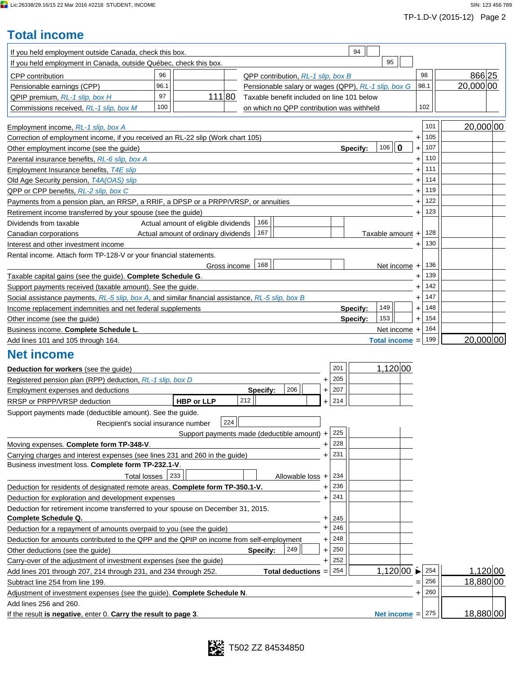Ī.

# **Total income**

| If you held employment outside Canada, check this box.                                                                             |      |                                             |              |          |                                                     |                |     | 94       |                  |              |           |     |           |
|------------------------------------------------------------------------------------------------------------------------------------|------|---------------------------------------------|--------------|----------|-----------------------------------------------------|----------------|-----|----------|------------------|--------------|-----------|-----|-----------|
| If you held employment in Canada, outside Québec, check this box.                                                                  |      |                                             |              |          |                                                     |                |     |          | 95               |              |           |     |           |
| <b>CPP</b> contribution                                                                                                            | 96   |                                             |              |          | QPP contribution, RL-1 slip, box B                  |                |     |          |                  |              | 98        |     | 866 25    |
| Pensionable earnings (CPP)                                                                                                         | 96.1 |                                             |              |          | Pensionable salary or wages (QPP), RL-1 slip, box G |                |     |          |                  |              | 98.1      |     | 20,000 00 |
| QPIP premium, RL-1 slip, box H                                                                                                     | 97   | 111 80                                      |              |          | Taxable benefit included on line 101 below          |                |     |          |                  |              |           |     |           |
| Commissions received, RL-1 slip, box M                                                                                             | 100  |                                             |              |          | on which no QPP contribution was withheld           |                |     |          |                  |              | 102       |     |           |
|                                                                                                                                    |      |                                             |              |          |                                                     |                |     |          |                  |              |           |     |           |
| Employment income, RL-1 slip, box A                                                                                                |      |                                             |              |          |                                                     |                |     |          |                  |              |           | 101 | 20,000 00 |
| Correction of employment income, if you received an RL-22 slip (Work chart 105)                                                    |      |                                             |              |          |                                                     |                |     |          |                  |              | +         | 105 |           |
| Other employment income (see the guide)                                                                                            |      |                                             |              |          |                                                     |                |     | Specify: | $106$   0        |              | $\ddot{}$ | 107 |           |
| Parental insurance benefits, RL-6 slip, box A                                                                                      |      |                                             |              |          |                                                     |                |     |          |                  |              | +         | 110 |           |
| Employment Insurance benefits, T4E slip                                                                                            |      |                                             |              |          |                                                     |                |     |          |                  |              |           | 111 |           |
| Old Age Security pension, T4A(OAS) slip                                                                                            |      |                                             |              |          |                                                     |                |     |          |                  |              |           | 114 |           |
| QPP or CPP benefits, RL-2 slip, box C                                                                                              |      |                                             |              |          |                                                     |                |     |          |                  |              |           | 119 |           |
| Payments from a pension plan, an RRSP, a RRIF, a DPSP or a PRPP/VRSP, or annuities                                                 |      |                                             |              |          |                                                     |                |     |          |                  |              |           | 122 |           |
| Retirement income transferred by your spouse (see the guide)                                                                       |      |                                             |              |          |                                                     |                |     |          |                  |              |           | 123 |           |
| Dividends from taxable                                                                                                             |      | Actual amount of eligible dividends         |              | 166      |                                                     |                |     |          |                  |              |           |     |           |
| Canadian corporations                                                                                                              |      | Actual amount of ordinary dividends         |              | 167      |                                                     |                |     |          | Taxable amount + |              |           | 128 |           |
| Interest and other investment income                                                                                               |      |                                             |              |          |                                                     |                |     |          |                  |              |           | 130 |           |
| Rental income. Attach form TP-128-V or your financial statements.                                                                  |      |                                             |              |          |                                                     |                |     |          |                  |              |           |     |           |
|                                                                                                                                    |      |                                             | Gross income | 168      |                                                     |                |     |          |                  | Net income + |           | 136 |           |
| Taxable capital gains (see the guide). Complete Schedule G.                                                                        |      |                                             |              |          |                                                     |                |     |          |                  |              |           | 139 |           |
| Support payments received (taxable amount). See the guide.                                                                         |      |                                             |              |          |                                                     |                |     |          |                  |              |           | 142 |           |
| Social assistance payments, RL-5 slip, box A, and similar financial assistance, RL-5 slip, box B                                   |      |                                             |              |          |                                                     |                |     |          |                  |              | +         | 147 |           |
| Income replacement indemnities and net federal supplements                                                                         |      |                                             |              |          |                                                     |                |     | Specify: | 149              |              | +         | 148 |           |
| Other income (see the guide)                                                                                                       |      |                                             |              |          |                                                     |                |     | Specify: | 153              |              | $\ddot{}$ | 154 |           |
| Business income. Complete Schedule L.                                                                                              |      |                                             |              |          |                                                     |                |     |          | Net income +     |              |           | 164 |           |
| Add lines 101 and 105 through 164.                                                                                                 |      |                                             |              |          |                                                     |                |     |          | Total income =   |              |           | 199 | 20,000 00 |
| <b>Net income</b>                                                                                                                  |      |                                             |              |          |                                                     |                |     |          |                  |              |           |     |           |
| Deduction for workers (see the guide)                                                                                              |      |                                             |              |          |                                                     |                | 201 |          | 1,120 00         |              |           |     |           |
| Registered pension plan (RPP) deduction, RL-1 slip, box D                                                                          |      |                                             |              |          |                                                     | +              | 205 |          |                  |              |           |     |           |
| Employment expenses and deductions                                                                                                 |      |                                             |              | Specify: | 206                                                 | +              | 207 |          |                  |              |           |     |           |
| RRSP or PRPP/VRSP deduction                                                                                                        |      | <b>HBP or LLP</b>                           |              | 212      |                                                     |                | 214 |          |                  |              |           |     |           |
|                                                                                                                                    |      |                                             |              |          |                                                     |                |     |          |                  |              |           |     |           |
| Support payments made (deductible amount). See the guide.<br>Recipient's social insurance number                                   |      |                                             | 224          |          |                                                     |                |     |          |                  |              |           |     |           |
|                                                                                                                                    |      |                                             |              |          |                                                     |                | 225 |          |                  |              |           |     |           |
| Moving expenses. Complete form TP-348-V.                                                                                           |      | Support payments made (deductible amount) + |              |          |                                                     |                | 228 |          |                  |              |           |     |           |
|                                                                                                                                    |      |                                             |              |          |                                                     | +<br>$\ddot{}$ | 231 |          |                  |              |           |     |           |
| Carrying charges and interest expenses (see lines 231 and 260 in the guide)<br>Business investment loss. Complete form TP-232.1-V. |      |                                             |              |          |                                                     |                |     |          |                  |              |           |     |           |
| <b>Total losses</b>                                                                                                                |      |                                             |              |          |                                                     |                | 234 |          |                  |              |           |     |           |
| Deduction for residents of designated remote areas. Complete form TP-350.1-V.                                                      |      |                                             |              |          | Allowable loss +                                    |                | 236 |          |                  |              |           |     |           |
|                                                                                                                                    |      |                                             |              |          |                                                     |                | 241 |          |                  |              |           |     |           |
| Deduction for exploration and development expenses                                                                                 |      |                                             |              |          |                                                     |                |     |          |                  |              |           |     |           |
| Deduction for retirement income transferred to your spouse on December 31, 2015.<br>Complete Schedule Q.                           |      |                                             |              |          |                                                     |                | 245 |          |                  |              |           |     |           |
| Deduction for a repayment of amounts overpaid to you (see the guide)                                                               |      |                                             |              |          |                                                     | +              | 246 |          |                  |              |           |     |           |
| Deduction for amounts contributed to the QPP and the QPIP on income from self-employment                                           |      |                                             |              |          |                                                     | +              | 248 |          |                  |              |           |     |           |
| Other deductions (see the guide)                                                                                                   |      |                                             |              | Specify: | 249                                                 | $\ddot{}$      | 250 |          |                  |              |           |     |           |
| Carry-over of the adjustment of investment expenses (see the guide)                                                                |      |                                             |              |          |                                                     |                | 252 |          |                  |              |           |     |           |
| Add lines 201 through 207, 214 through 231, and 234 through 252.                                                                   |      |                                             |              |          | <b>Total deductions</b>                             | $\equiv$       | 254 |          | 1,120 00         |              |           | 254 | 1,120 00  |
| Subtract line 254 from line 199.                                                                                                   |      |                                             |              |          |                                                     |                |     |          |                  |              |           | 256 | 18,880 00 |
| Adjustment of investment expenses (see the guide). Complete Schedule N.                                                            |      |                                             |              |          |                                                     |                |     |          |                  |              |           | 260 |           |
| Add lines 256 and 260.                                                                                                             |      |                                             |              |          |                                                     |                |     |          |                  |              |           |     |           |
|                                                                                                                                    |      |                                             |              |          |                                                     |                |     |          |                  |              |           | 275 | 18,880 00 |
| If the result is negative, enter 0. Carry the result to page 3.                                                                    |      |                                             |              |          |                                                     |                |     |          | Net income $=$   |              |           |     |           |

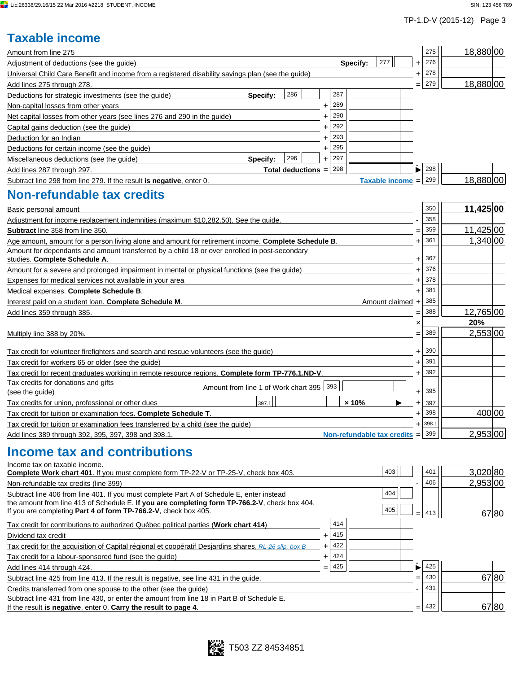## TP-1.D-V (2015-12) Page 3

## **Taxable income**

| Amount from line 275                                                                                                                                                                                 |                                          |                    |                  |                                   |           | 275   | 18,880 00 |
|------------------------------------------------------------------------------------------------------------------------------------------------------------------------------------------------------|------------------------------------------|--------------------|------------------|-----------------------------------|-----------|-------|-----------|
| Adjustment of deductions (see the guide)                                                                                                                                                             |                                          |                    | Specify:         | 277                               | $\ddot{}$ | 276   |           |
| Universal Child Care Benefit and income from a registered disability savings plan (see the guide)                                                                                                    |                                          |                    |                  |                                   | +         | 278   |           |
| Add lines 275 through 278.                                                                                                                                                                           |                                          |                    |                  |                                   |           | 279   | 18,880 00 |
| Deductions for strategic investments (see the guide)                                                                                                                                                 | Specify:                                 | 286                | 287              |                                   |           |       |           |
| Non-capital losses from other years                                                                                                                                                                  |                                          |                    | 289<br>+         |                                   |           |       |           |
| Net capital losses from other years (see lines 276 and 290 in the guide)                                                                                                                             |                                          |                    | 290              |                                   |           |       |           |
| Capital gains deduction (see the guide)                                                                                                                                                              |                                          |                    | 292              |                                   |           |       |           |
| Deduction for an Indian                                                                                                                                                                              |                                          |                    | 293              |                                   |           |       |           |
| Deductions for certain income (see the guide)                                                                                                                                                        |                                          |                    | 295<br>+         |                                   |           |       |           |
| Miscellaneous deductions (see the guide)                                                                                                                                                             | Specify:                                 | 296                | 297<br>$\ddot{}$ |                                   |           |       |           |
| Add lines 287 through 297.                                                                                                                                                                           |                                          | Total deductions = | 298              |                                   |           | 298   |           |
| Subtract line 298 from line 279. If the result is negative, enter 0.                                                                                                                                 |                                          |                    |                  | <b>Taxable income</b>             |           | 299   | 18,880 00 |
| <b>Non-refundable tax credits</b>                                                                                                                                                                    |                                          |                    |                  |                                   |           |       |           |
| Basic personal amount                                                                                                                                                                                |                                          |                    |                  |                                   |           | 350   | 11,425 00 |
| Adjustment for income replacement indemnities (maximum \$10,282.50). See the guide.                                                                                                                  |                                          |                    |                  |                                   |           | 358   |           |
| Subtract line 358 from line 350.                                                                                                                                                                     |                                          |                    |                  |                                   |           | 359   | 11,425 00 |
| Age amount, amount for a person living alone and amount for retirement income. Complete Schedule B.<br>Amount for dependants and amount transferred by a child 18 or over enrolled in post-secondary |                                          |                    |                  |                                   | 4         | 361   | 1,340 00  |
| studies. Complete Schedule A.                                                                                                                                                                        |                                          |                    |                  |                                   | 4         | 367   |           |
| Amount for a severe and prolonged impairment in mental or physical functions (see the guide)                                                                                                         |                                          |                    |                  |                                   | ٠         | 376   |           |
| Expenses for medical services not available in your area                                                                                                                                             |                                          |                    |                  |                                   | +         | 378   |           |
| Medical expenses. Complete Schedule B.                                                                                                                                                               |                                          |                    |                  |                                   | +         | 381   |           |
| Interest paid on a student loan. Complete Schedule M.                                                                                                                                                |                                          |                    |                  | Amount claimed +                  |           | 385   |           |
| Add lines 359 through 385.                                                                                                                                                                           |                                          |                    |                  |                                   |           | 388   | 12,765 00 |
|                                                                                                                                                                                                      |                                          |                    |                  |                                   | ×         |       | 20%       |
| Multiply line 388 by 20%.                                                                                                                                                                            |                                          |                    |                  |                                   |           | 389   | 2,553 00  |
|                                                                                                                                                                                                      |                                          |                    |                  |                                   |           | 390   |           |
| Tax credit for volunteer firefighters and search and rescue volunteers (see the guide)<br>Tax credit for workers 65 or older (see the guide)                                                         |                                          |                    |                  |                                   | +         | 391   |           |
|                                                                                                                                                                                                      |                                          |                    |                  |                                   |           | 392   |           |
| Tax credit for recent graduates working in remote resource regions. Complete form TP-776.1.ND-V.<br>Tax credits for donations and gifts                                                              |                                          |                    |                  |                                   | +         |       |           |
| (see the guide)                                                                                                                                                                                      | Amount from line 1 of Work chart 395 393 |                    |                  |                                   | +         | 395   |           |
| Tax credits for union, professional or other dues                                                                                                                                                    | 397.1                                    |                    | $\times 10\%$    | ▶                                 | ٠         | 397   |           |
| Tax credit for tuition or examination fees. Complete Schedule T.                                                                                                                                     |                                          |                    |                  |                                   |           | 398   | 400 00    |
| Tax credit for tuition or examination fees transferred by a child (see the guide)                                                                                                                    |                                          |                    |                  |                                   |           | 398.1 |           |
| Add lines 389 through 392, 395, 397, 398 and 398.1.                                                                                                                                                  |                                          |                    |                  | <b>Non-refundable tax credits</b> | $=$       | 399   | 2,953 00  |
| Income tax and contributions<br>Income tax on taxable income.                                                                                                                                        |                                          |                    |                  |                                   |           |       |           |
| Complete Work chart 401. If you must complete form TP-22-V or TP-25-V, check box 403.                                                                                                                |                                          |                    |                  | 403                               |           | 401   | 3,020 80  |
| Non-refundable tax credits (line 399)                                                                                                                                                                |                                          |                    |                  |                                   |           | 406   | 2,953 00  |
| Subtract line 406 from line 401. If you must complete Part A of Schedule E, enter instead<br>the amount from line 413 of Schedule E. If you are completing form TP-766.2-V, check box 404.           |                                          |                    |                  | 404                               |           |       |           |
| If you are completing Part 4 of form TP-766.2-V, check box 405.                                                                                                                                      |                                          |                    |                  | 405                               |           | 413   | 67 80     |
| Tax credit for contributions to authorized Québec political parties (Work chart 414)                                                                                                                 |                                          |                    | 414              |                                   |           |       |           |
| Dividend tax credit                                                                                                                                                                                  |                                          |                    | 415<br>$\pm$     |                                   |           |       |           |
| Tax credit for the acquisition of Capital régional et coopératif Desjardins shares, RL-26 slip, box B                                                                                                |                                          |                    | 422<br>$\pm$     |                                   |           |       |           |
| Tax credit for a labour-sponsored fund (see the quide)                                                                                                                                               |                                          |                    | 424<br>+         |                                   |           |       |           |
| Add lines 414 through 424.                                                                                                                                                                           |                                          |                    | 425<br>$=$       |                                   | ▶         | 425   |           |
| Subtract line 425 from line 413. If the result is negative, see line 431 in the guide.                                                                                                               |                                          |                    |                  |                                   | $=$       | 430   | 67 80     |
| Credits transferred from one spouse to the other (see the guide)                                                                                                                                     |                                          |                    |                  |                                   |           | 431   |           |
| Subtract line 431 from line 430, or enter the amount from line 18 in Part B of Schedule E.<br>If the result is negative, enter 0. Carry the result to page 4.                                        |                                          |                    |                  |                                   | =         | 432   | 67 80     |
|                                                                                                                                                                                                      |                                          |                    |                  |                                   |           |       |           |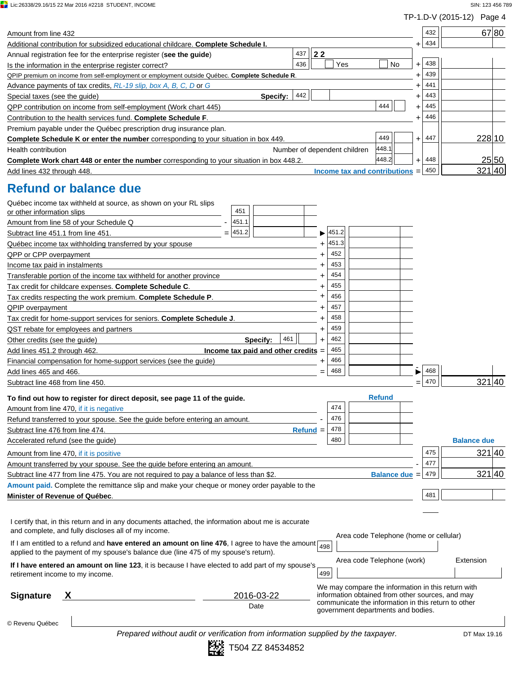**Lic:26338/29.16/15 22 Mar 2016 #2218 STUDENT, INCOME** SIN: 123 456 789

|                                                                                                                                                                                        |           |       |                                                                                                         |                      |                  | TP-1.D-V (2015-12) Page 4 |                    |       |
|----------------------------------------------------------------------------------------------------------------------------------------------------------------------------------------|-----------|-------|---------------------------------------------------------------------------------------------------------|----------------------|------------------|---------------------------|--------------------|-------|
| Amount from line 432                                                                                                                                                                   |           |       |                                                                                                         |                      | 432              |                           |                    | 67 80 |
| Additional contribution for subsidized educational childcare. Complete Schedule I.                                                                                                     |           |       |                                                                                                         |                      | 434<br>+         |                           |                    |       |
| 437<br>Annual registration fee for the enterprise register (see the guide)                                                                                                             | 22        |       |                                                                                                         |                      |                  |                           |                    |       |
| 436<br>Is the information in the enterprise register correct?                                                                                                                          |           | Yes   |                                                                                                         | No                   | 438<br>$\ddot{}$ |                           |                    |       |
| QPIP premium on income from self-employment or employment outside Québec. Complete Schedule R                                                                                          |           |       |                                                                                                         |                      | 439<br>+         |                           |                    |       |
| Advance payments of tax credits, RL-19 slip, box A, B, C, D or G                                                                                                                       |           |       |                                                                                                         |                      | 441<br>4         |                           |                    |       |
| 442<br>Special taxes (see the guide)<br>Specify:                                                                                                                                       |           |       |                                                                                                         |                      | 443<br>+         |                           |                    |       |
| QPP contribution on income from self-employment (Work chart 445)                                                                                                                       |           |       | 444                                                                                                     |                      | 445<br>+         |                           |                    |       |
| Contribution to the health services fund. Complete Schedule F.                                                                                                                         |           |       |                                                                                                         |                      | 446<br>+         |                           |                    |       |
| Premium payable under the Québec prescription drug insurance plan.                                                                                                                     |           |       |                                                                                                         |                      |                  |                           |                    |       |
| <b>Complete Schedule K or enter the number</b> corresponding to your situation in box 449.                                                                                             |           |       | 449                                                                                                     |                      | 447<br>$\ddot{}$ |                           | 228 10             |       |
| <b>Health contribution</b><br>Number of dependent children                                                                                                                             |           |       | 448.1                                                                                                   |                      |                  |                           |                    |       |
| Complete Work chart 448 or enter the number corresponding to your situation in box 448.2.                                                                                              |           |       | 448.2                                                                                                   |                      | 448<br>$\ddot{}$ |                           |                    | 25 50 |
| Add lines 432 through 448.                                                                                                                                                             |           |       | Income tax and contributions =                                                                          |                      | 450              |                           | 321 40             |       |
| <b>Refund or balance due</b>                                                                                                                                                           |           |       |                                                                                                         |                      |                  |                           |                    |       |
| Québec income tax withheld at source, as shown on your RL slips                                                                                                                        |           |       |                                                                                                         |                      |                  |                           |                    |       |
| 451<br>or other information slips                                                                                                                                                      |           |       |                                                                                                         |                      |                  |                           |                    |       |
| 451.1<br>Amount from line 58 of your Schedule Q                                                                                                                                        |           |       |                                                                                                         |                      |                  |                           |                    |       |
| 451.2<br>Subtract line 451.1 from line 451.                                                                                                                                            |           | 451.2 |                                                                                                         |                      |                  |                           |                    |       |
| Québec income tax withholding transferred by your spouse                                                                                                                               |           | 451.3 |                                                                                                         |                      |                  |                           |                    |       |
| QPP or CPP overpayment                                                                                                                                                                 |           | 452   |                                                                                                         |                      |                  |                           |                    |       |
| Income tax paid in instalments                                                                                                                                                         |           | 453   |                                                                                                         |                      |                  |                           |                    |       |
| Transferable portion of the income tax withheld for another province                                                                                                                   |           | 454   |                                                                                                         |                      |                  |                           |                    |       |
| Tax credit for childcare expenses. Complete Schedule C.                                                                                                                                |           | 455   |                                                                                                         |                      |                  |                           |                    |       |
| Tax credits respecting the work premium. Complete Schedule P.                                                                                                                          | +         | 456   |                                                                                                         |                      |                  |                           |                    |       |
| <b>QPIP</b> overpayment                                                                                                                                                                |           | 457   |                                                                                                         |                      |                  |                           |                    |       |
| Tax credit for home-support services for seniors. Complete Schedule J.                                                                                                                 |           | 458   |                                                                                                         |                      |                  |                           |                    |       |
| QST rebate for employees and partners                                                                                                                                                  | +         | 459   |                                                                                                         |                      |                  |                           |                    |       |
| 461<br>Other credits (see the guide)<br>Specify:                                                                                                                                       | $\ddot{}$ | 462   |                                                                                                         |                      |                  |                           |                    |       |
| Income tax paid and other credits<br>Add lines 451.2 through 462.                                                                                                                      |           | 465   |                                                                                                         |                      |                  |                           |                    |       |
| Financial compensation for home-support services (see the guide)                                                                                                                       |           | 466   |                                                                                                         |                      |                  |                           |                    |       |
| Add lines 465 and 466.                                                                                                                                                                 |           | 468   |                                                                                                         |                      | 468              |                           |                    |       |
| Subtract line 468 from line 450.                                                                                                                                                       |           |       |                                                                                                         |                      | 470              |                           | 32140              |       |
|                                                                                                                                                                                        |           |       |                                                                                                         |                      |                  |                           |                    |       |
| To find out how to register for direct deposit, see page 11 of the guide.                                                                                                              |           |       | <b>Refund</b>                                                                                           |                      |                  |                           |                    |       |
| Amount from line 470, if it is negative                                                                                                                                                |           | 474   |                                                                                                         |                      |                  |                           |                    |       |
| Refund transferred to your spouse. See the quide before entering an amount.                                                                                                            |           | 476   |                                                                                                         |                      |                  |                           |                    |       |
| Subtract line 476 from line 474.<br>$Refund =$                                                                                                                                         |           | 478   |                                                                                                         |                      |                  |                           |                    |       |
| Accelerated refund (see the quide)                                                                                                                                                     |           | 480   |                                                                                                         |                      |                  |                           | <b>Balance due</b> |       |
| Amount from line 470, if it is positive                                                                                                                                                |           |       |                                                                                                         |                      | 475              |                           | 321 40             |       |
| Amount transferred by your spouse. See the guide before entering an amount.                                                                                                            |           |       |                                                                                                         |                      | 477              |                           |                    |       |
| Subtract line 477 from line 475. You are not required to pay a balance of less than \$2.                                                                                               |           |       |                                                                                                         | <b>Balance due =</b> | 479              |                           | 321 40             |       |
| Amount paid. Complete the remittance slip and make your cheque or money order payable to the                                                                                           |           |       |                                                                                                         |                      |                  |                           |                    |       |
| Minister of Revenue of Québec.                                                                                                                                                         |           |       |                                                                                                         |                      | 481              |                           |                    |       |
|                                                                                                                                                                                        |           |       |                                                                                                         |                      |                  |                           |                    |       |
| I certify that, in this return and in any documents attached, the information about me is accurate<br>and complete, and fully discloses all of my income.                              |           |       |                                                                                                         |                      |                  |                           |                    |       |
| If I am entitled to a refund and have entered an amount on line 476, I agree to have the amount<br>applied to the payment of my spouse's balance due (line 475 of my spouse's return). | 498       |       | Area code Telephone (home or cellular)                                                                  |                      |                  |                           |                    |       |
| If I have entered an amount on line 123, it is because I have elected to add part of my spouse's<br>retirement income to my income.                                                    | 499       |       | Area code Telephone (work)                                                                              |                      |                  |                           | Extension          |       |
|                                                                                                                                                                                        |           |       | We may compare the information in this return with                                                      |                      |                  |                           |                    |       |
| <b>Signature</b><br>2016-03-22                                                                                                                                                         |           |       | information obtained from other sources, and may<br>communicate the information in this return to other |                      |                  |                           |                    |       |
| Date                                                                                                                                                                                   |           |       | government departments and bodies.                                                                      |                      |                  |                           |                    |       |
|                                                                                                                                                                                        |           |       |                                                                                                         |                      |                  |                           |                    |       |

© Revenu Québec

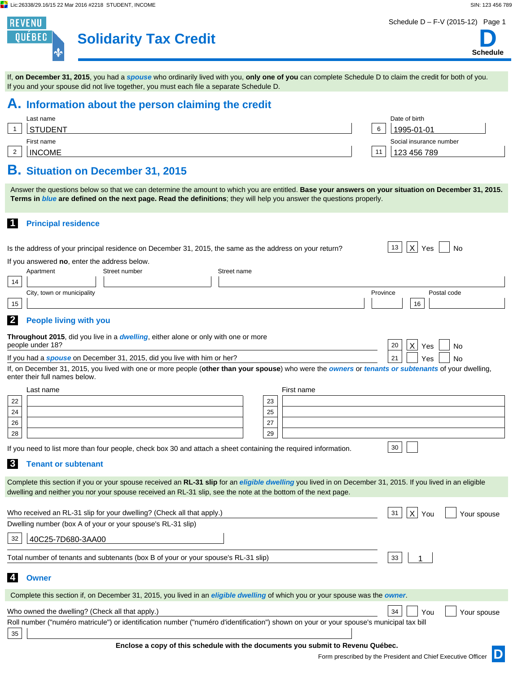∳

**REVENU** QUÉBEC

## **Solidarity Tax Credit**

If you and your spouse did not live together, you must each file a separate Schedule D.

Schedule D – F-V (2015-12) Page 1

**Schedule D**

| A. Information about the person claiming the credit                                                                                                                                                                                                                        |             |          |                                                                                 |          |                                                              |             |
|----------------------------------------------------------------------------------------------------------------------------------------------------------------------------------------------------------------------------------------------------------------------------|-------------|----------|---------------------------------------------------------------------------------|----------|--------------------------------------------------------------|-------------|
| Last name                                                                                                                                                                                                                                                                  |             |          |                                                                                 |          | Date of birth                                                |             |
| $\mathbf{1}$<br><b>STUDENT</b>                                                                                                                                                                                                                                             |             |          |                                                                                 | 6        | 1995-01-01                                                   |             |
| First name                                                                                                                                                                                                                                                                 |             |          |                                                                                 |          | Social insurance number                                      |             |
| <b>INCOME</b><br>$\overline{2}$                                                                                                                                                                                                                                            |             |          |                                                                                 | 11       | 123 456 789                                                  |             |
| <b>B.</b> Situation on December 31, 2015                                                                                                                                                                                                                                   |             |          |                                                                                 |          |                                                              |             |
| Answer the questions below so that we can determine the amount to which you are entitled. Base your answers on your situation on December 31, 2015.<br>Terms in blue are defined on the next page. Read the definitions; they will help you answer the questions properly. |             |          |                                                                                 |          |                                                              |             |
| $\blacksquare$<br><b>Principal residence</b>                                                                                                                                                                                                                               |             |          |                                                                                 |          |                                                              |             |
| Is the address of your principal residence on December 31, 2015, the same as the address on your return?                                                                                                                                                                   |             |          |                                                                                 |          | $ \mathsf{x} $<br>13<br>Yes                                  | No          |
| If you answered no, enter the address below.                                                                                                                                                                                                                               |             |          |                                                                                 |          |                                                              |             |
| Apartment<br>Street number                                                                                                                                                                                                                                                 | Street name |          |                                                                                 |          |                                                              |             |
| 14<br>City, town or municipality                                                                                                                                                                                                                                           |             |          |                                                                                 | Province |                                                              | Postal code |
| 15                                                                                                                                                                                                                                                                         |             |          |                                                                                 |          | 16                                                           |             |
| $\mathbf{2}$<br><b>People living with you</b>                                                                                                                                                                                                                              |             |          |                                                                                 |          |                                                              |             |
| <b>Throughout 2015</b> , did you live in a <i>dwelling</i> , either alone or only with one or more                                                                                                                                                                         |             |          |                                                                                 |          |                                                              |             |
| people under 18?                                                                                                                                                                                                                                                           |             |          |                                                                                 |          | 20<br>$\mathsf{X}$<br>Yes                                    | No          |
| If you had a <i>spouse</i> on December 31, 2015, did you live with him or her?<br>If, on December 31, 2015, you lived with one or more people (other than your spouse) who were the owners or tenants or subtenants of your dwelling,                                      |             |          |                                                                                 |          | 21<br>Yes                                                    | No.         |
| enter their full names below.                                                                                                                                                                                                                                              |             |          |                                                                                 |          |                                                              |             |
| Last name                                                                                                                                                                                                                                                                  |             |          | First name                                                                      |          |                                                              |             |
| 22                                                                                                                                                                                                                                                                         |             | 23       |                                                                                 |          |                                                              |             |
| 24<br>26                                                                                                                                                                                                                                                                   |             | 25<br>27 |                                                                                 |          |                                                              |             |
| 28                                                                                                                                                                                                                                                                         |             | 29       |                                                                                 |          |                                                              |             |
| If you need to list more than four people, check box 30 and attach a sheet containing the required information.                                                                                                                                                            |             |          |                                                                                 |          | 30                                                           |             |
| <b>3</b><br><b>Tenant or subtenant</b>                                                                                                                                                                                                                                     |             |          |                                                                                 |          |                                                              |             |
| Complete this section if you or your spouse received an RL-31 slip for an eligible dwelling you lived in on December 31, 2015. If you lived in an eligible                                                                                                                 |             |          |                                                                                 |          |                                                              |             |
| dwelling and neither you nor your spouse received an RL-31 slip, see the note at the bottom of the next page.                                                                                                                                                              |             |          |                                                                                 |          |                                                              |             |
|                                                                                                                                                                                                                                                                            |             |          |                                                                                 |          |                                                              |             |
| Who received an RL-31 slip for your dwelling? (Check all that apply.)                                                                                                                                                                                                      |             |          |                                                                                 |          | X.                                                           | Your spouse |
| Dwelling number (box A of your or your spouse's RL-31 slip)                                                                                                                                                                                                                |             |          |                                                                                 |          |                                                              |             |
| 40C25-7D680-3AA00<br>32                                                                                                                                                                                                                                                    |             |          |                                                                                 |          |                                                              |             |
| Total number of tenants and subtenants (box B of your or your spouse's RL-31 slip)                                                                                                                                                                                         |             |          |                                                                                 |          | 33<br>$\mathbf{1}$                                           |             |
| 4<br><b>Owner</b>                                                                                                                                                                                                                                                          |             |          |                                                                                 |          |                                                              |             |
| Complete this section if, on December 31, 2015, you lived in an eligible dwelling of which you or your spouse was the owner.                                                                                                                                               |             |          |                                                                                 |          |                                                              |             |
| Who owned the dwelling? (Check all that apply.)                                                                                                                                                                                                                            |             |          |                                                                                 |          | 34<br>You                                                    | Your spouse |
| Roll number ("numéro matricule") or identification number ("numéro d'identification") shown on your or your spouse's municipal tax bill<br>35                                                                                                                              |             |          |                                                                                 |          |                                                              |             |
|                                                                                                                                                                                                                                                                            |             |          | Enclose a copy of this schedule with the documents you submit to Revenu Québec. |          |                                                              |             |
|                                                                                                                                                                                                                                                                            |             |          |                                                                                 |          | Form prescribed by the President and Chief Executive Officer |             |
|                                                                                                                                                                                                                                                                            |             |          |                                                                                 |          |                                                              |             |

If, **on December 31, 2015**, you had a *spouse* who ordinarily lived with you, **only one of you** can complete Schedule D to claim the credit for both of you.